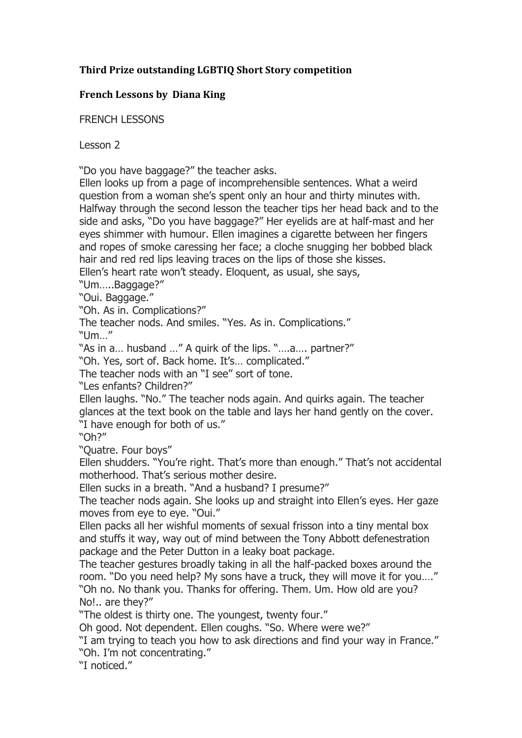## **Third Prize outstanding LGBTIQ Short Story competition**

## **French Lessons by Diana King**

FRENCH LESSONS

Lesson 2

"Do you have baggage?" the teacher asks.

Ellen looks up from a page of incomprehensible sentences. What a weird question from a woman she's spent only an hour and thirty minutes with. Halfway through the second lesson the teacher tips her head back and to the side and asks, "Do you have baggage?" Her eyelids are at half-mast and her eyes shimmer with humour. Ellen imagines a cigarette between her fingers and ropes of smoke caressing her face; a cloche snugging her bobbed black hair and red red lips leaving traces on the lips of those she kisses.

Ellen's heart rate won't steady. Eloquent, as usual, she says,

"Um…..Baggage?"

"Oui. Baggage."

"Oh. As in. Complications?"

The teacher nods. And smiles. "Yes. As in. Complications." "Um…"

"As in a… husband …" A quirk of the lips. "….a…. partner?"

"Oh. Yes, sort of. Back home. It's… complicated."

The teacher nods with an "I see" sort of tone.

"Les enfants? Children?"

Ellen laughs. "No." The teacher nods again. And quirks again. The teacher glances at the text book on the table and lays her hand gently on the cover. "I have enough for both of us."

"Oh?"

"Quatre. Four boys"

Ellen shudders. "You're right. That's more than enough." That's not accidental motherhood. That's serious mother desire.

Ellen sucks in a breath. "And a husband? I presume?"

The teacher nods again. She looks up and straight into Ellen's eyes. Her gaze moves from eye to eye. "Oui."

Ellen packs all her wishful moments of sexual frisson into a tiny mental box and stuffs it way, way out of mind between the Tony Abbott defenestration package and the Peter Dutton in a leaky boat package.

The teacher gestures broadly taking in all the half-packed boxes around the room. "Do you need help? My sons have a truck, they will move it for you…." "Oh no. No thank you. Thanks for offering. Them. Um. How old are you? No!.. are they?"

"The oldest is thirty one. The youngest, twenty four."

Oh good. Not dependent. Ellen coughs. "So. Where were we?"

"I am trying to teach you how to ask directions and find your way in France." "Oh. I'm not concentrating."

"I noticed."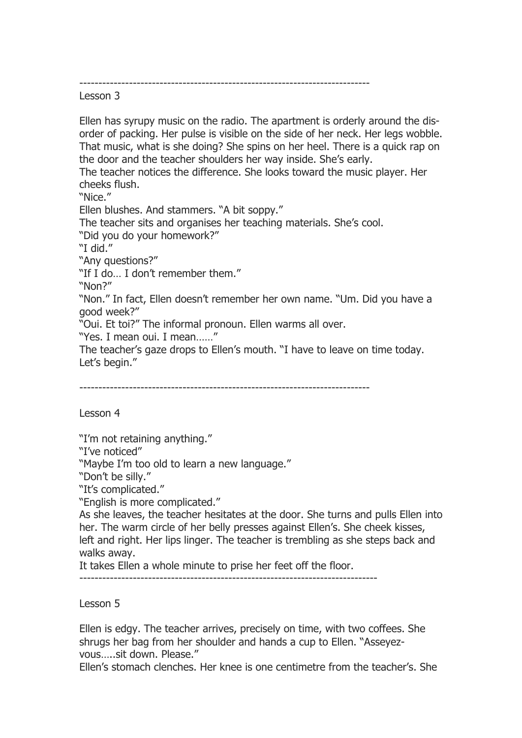----------------------------------------------------------------------------

Lesson 3

Ellen has syrupy music on the radio. The apartment is orderly around the disorder of packing. Her pulse is visible on the side of her neck. Her legs wobble. That music, what is she doing? She spins on her heel. There is a quick rap on the door and the teacher shoulders her way inside. She's early. The teacher notices the difference. She looks toward the music player. Her cheeks flush. "Nice." Ellen blushes. And stammers. "A bit soppy." The teacher sits and organises her teaching materials. She's cool. "Did you do your homework?" "I did." "Any questions?" "If I do… I don't remember them." "Non?" "Non." In fact, Ellen doesn't remember her own name. "Um. Did you have a good week?" "Oui. Et toi?" The informal pronoun. Ellen warms all over. "Yes. I mean oui. I mean……" The teacher's gaze drops to Ellen's mouth. "I have to leave on time today. Let's begin."

----------------------------------------------------------------------------

Lesson 4

"I'm not retaining anything."

"I've noticed"

"Maybe I'm too old to learn a new language."

"Don't be silly."

"It's complicated."

"English is more complicated."

As she leaves, the teacher hesitates at the door. She turns and pulls Ellen into her. The warm circle of her belly presses against Ellen's. She cheek kisses, left and right. Her lips linger. The teacher is trembling as she steps back and walks away.

It takes Ellen a whole minute to prise her feet off the floor.

------------------------------------------------------------------------------

Lesson 5

Ellen is edgy. The teacher arrives, precisely on time, with two coffees. She shrugs her bag from her shoulder and hands a cup to Ellen. "Asseyezvous…..sit down. Please."

Ellen's stomach clenches. Her knee is one centimetre from the teacher's. She